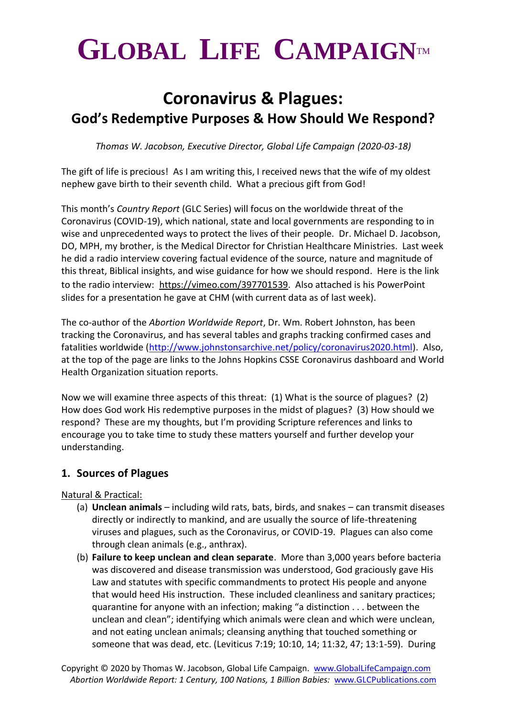# $GLOBAL$  LIFE CAMPAIGNTM

# **Coronavirus & Plagues: God's Redemptive Purposes & How Should We Respond?**

*Thomas W. Jacobson, Executive Director, Global Life Campaign (2020-03-18)*

The gift of life is precious! As I am writing this, I received news that the wife of my oldest nephew gave birth to their seventh child. What a precious gift from God!

This month's *Country Report* (GLC Series) will focus on the worldwide threat of the Coronavirus (COVID-19), which national, state and local governments are responding to in wise and unprecedented ways to protect the lives of their people. Dr. Michael D. Jacobson, DO, MPH, my brother, is the Medical Director for Christian Healthcare Ministries. Last week he did a radio interview covering factual evidence of the source, nature and magnitude of this threat, Biblical insights, and wise guidance for how we should respond. Here is the link to the radio interview: [https://vimeo.com/397701539.](https://vimeo.com/397701539) Also attached is his PowerPoint slides for a presentation he gave at CHM (with current data as of last week).

The co-author of the *Abortion Worldwide Report*, Dr. Wm. Robert Johnston, has been tracking the Coronavirus, and has several tables and graphs tracking confirmed cases and fatalities worldwide [\(http://www.johnstonsarchive.net/policy/coronavirus2020.html\)](http://www.johnstonsarchive.net/policy/coronavirus2020.html). Also, at the top of the page are links to the Johns Hopkins CSSE Coronavirus dashboard and World Health Organization situation reports.

Now we will examine three aspects of this threat: (1) What is the source of plagues? (2) How does God work His redemptive purposes in the midst of plagues? (3) How should we respond? These are my thoughts, but I'm providing Scripture references and links to encourage you to take time to study these matters yourself and further develop your understanding.

## **1. Sources of Plagues**

Natural & Practical:

- (a) **Unclean animals** including wild rats, bats, birds, and snakes can transmit diseases directly or indirectly to mankind, and are usually the source of life-threatening viruses and plagues, such as the Coronavirus, or COVID-19. Plagues can also come through clean animals (e.g., anthrax).
- (b) **Failure to keep unclean and clean separate**. More than 3,000 years before bacteria was discovered and disease transmission was understood, God graciously gave His Law and statutes with specific commandments to protect His people and anyone that would heed His instruction. These included cleanliness and sanitary practices; quarantine for anyone with an infection; making "a distinction . . . between the unclean and clean"; identifying which animals were clean and which were unclean, and not eating unclean animals; cleansing anything that touched something or someone that was dead, etc. (Leviticus 7:19; 10:10, 14; 11:32, 47; 13:1-59). During

Copyright © 2020 by Thomas W. Jacobson, Global Life Campaign. [www.GlobalLifeCampaign.com](http://www.globallifecampaign.com/) *Abortion Worldwide Report: 1 Century, 100 Nations, 1 Billion Babies:* [www.GLCPublications.com](http://www.glcpublications.com/)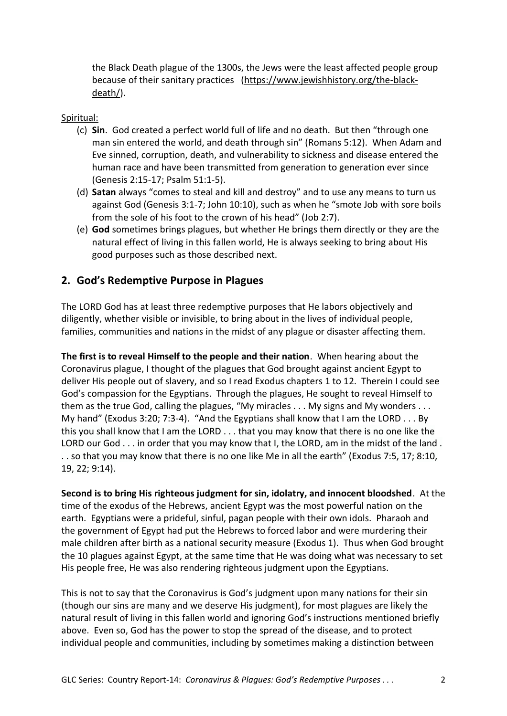the Black Death plague of the 1300s, the Jews were the least affected people group because of their sanitary practices [\(https://www.jewishhistory.org/the-black](https://www.jewishhistory.org/the-black-death/)[death/\)](https://www.jewishhistory.org/the-black-death/).

#### Spiritual:

- (c) **Sin**. God created a perfect world full of life and no death. But then "through one man sin entered the world, and death through sin" (Romans 5:12). When Adam and Eve sinned, corruption, death, and vulnerability to sickness and disease entered the human race and have been transmitted from generation to generation ever since (Genesis 2:15-17; Psalm 51:1-5).
- (d) **Satan** always "comes to steal and kill and destroy" and to use any means to turn us against God (Genesis 3:1-7; John 10:10), such as when he "smote Job with sore boils from the sole of his foot to the crown of his head" (Job 2:7).
- (e) **God** sometimes brings plagues, but whether He brings them directly or they are the natural effect of living in this fallen world, He is always seeking to bring about His good purposes such as those described next.

#### **2. God's Redemptive Purpose in Plagues**

The LORD God has at least three redemptive purposes that He labors objectively and diligently, whether visible or invisible, to bring about in the lives of individual people, families, communities and nations in the midst of any plague or disaster affecting them.

**The first is to reveal Himself to the people and their nation**. When hearing about the Coronavirus plague, I thought of the plagues that God brought against ancient Egypt to deliver His people out of slavery, and so I read Exodus chapters 1 to 12. Therein I could see God's compassion for the Egyptians. Through the plagues, He sought to reveal Himself to them as the true God, calling the plagues, "My miracles . . . My signs and My wonders . . . My hand" (Exodus 3:20; 7:3-4). "And the Egyptians shall know that I am the LORD . . . By this you shall know that I am the LORD . . . that you may know that there is no one like the LORD our God . . . in order that you may know that I, the LORD, am in the midst of the land . . . so that you may know that there is no one like Me in all the earth" (Exodus 7:5, 17; 8:10, 19, 22; 9:14).

**Second is to bring His righteous judgment for sin, idolatry, and innocent bloodshed**. At the time of the exodus of the Hebrews, ancient Egypt was the most powerful nation on the earth. Egyptians were a prideful, sinful, pagan people with their own idols. Pharaoh and the government of Egypt had put the Hebrews to forced labor and were murdering their male children after birth as a national security measure (Exodus 1). Thus when God brought the 10 plagues against Egypt, at the same time that He was doing what was necessary to set His people free, He was also rendering righteous judgment upon the Egyptians.

This is not to say that the Coronavirus is God's judgment upon many nations for their sin (though our sins are many and we deserve His judgment), for most plagues are likely the natural result of living in this fallen world and ignoring God's instructions mentioned briefly above. Even so, God has the power to stop the spread of the disease, and to protect individual people and communities, including by sometimes making a distinction between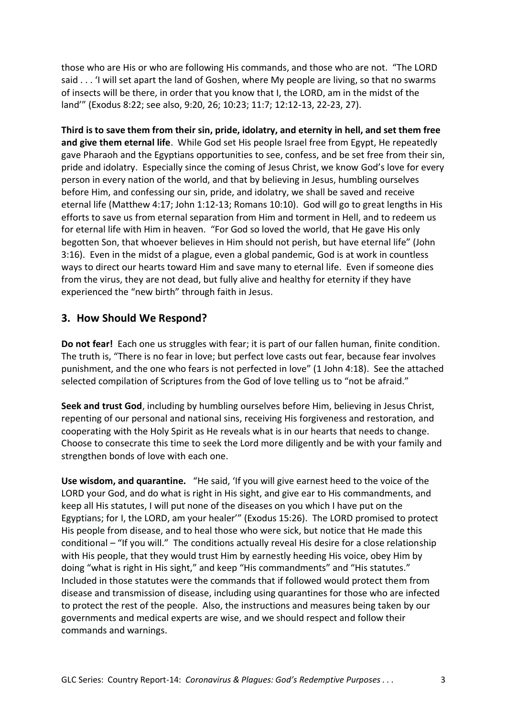those who are His or who are following His commands, and those who are not. "The LORD said . . . 'I will set apart the land of Goshen, where My people are living, so that no swarms of insects will be there, in order that you know that I, the LORD, am in the midst of the land'" (Exodus 8:22; see also, 9:20, 26; 10:23; 11:7; 12:12-13, 22-23, 27).

**Third is to save them from their sin, pride, idolatry, and eternity in hell, and set them free and give them eternal life**. While God set His people Israel free from Egypt, He repeatedly gave Pharaoh and the Egyptians opportunities to see, confess, and be set free from their sin, pride and idolatry. Especially since the coming of Jesus Christ, we know God's love for every person in every nation of the world, and that by believing in Jesus, humbling ourselves before Him, and confessing our sin, pride, and idolatry, we shall be saved and receive eternal life (Matthew 4:17; John 1:12-13; Romans 10:10). God will go to great lengths in His efforts to save us from eternal separation from Him and torment in Hell, and to redeem us for eternal life with Him in heaven. "For God so loved the world, that He gave His only begotten Son, that whoever believes in Him should not perish, but have eternal life" (John 3:16). Even in the midst of a plague, even a global pandemic, God is at work in countless ways to direct our hearts toward Him and save many to eternal life. Even if someone dies from the virus, they are not dead, but fully alive and healthy for eternity if they have experienced the "new birth" through faith in Jesus.

### **3. How Should We Respond?**

**Do not fear!** Each one us struggles with fear; it is part of our fallen human, finite condition. The truth is, "There is no fear in love; but perfect love casts out fear, because fear involves punishment, and the one who fears is not perfected in love" (1 John 4:18). See the attached selected compilation of Scriptures from the God of love telling us to "not be afraid."

**Seek and trust God**, including by humbling ourselves before Him, believing in Jesus Christ, repenting of our personal and national sins, receiving His forgiveness and restoration, and cooperating with the Holy Spirit as He reveals what is in our hearts that needs to change. Choose to consecrate this time to seek the Lord more diligently and be with your family and strengthen bonds of love with each one.

**Use wisdom, and quarantine.** "He said, 'If you will give earnest heed to the voice of the LORD your God, and do what is right in His sight, and give ear to His commandments, and keep all His statutes, I will put none of the diseases on you which I have put on the Egyptians; for I, the LORD, am your healer'" (Exodus 15:26). The LORD promised to protect His people from disease, and to heal those who were sick, but notice that He made this conditional – "If you will." The conditions actually reveal His desire for a close relationship with His people, that they would trust Him by earnestly heeding His voice, obey Him by doing "what is right in His sight," and keep "His commandments" and "His statutes." Included in those statutes were the commands that if followed would protect them from disease and transmission of disease, including using quarantines for those who are infected to protect the rest of the people. Also, the instructions and measures being taken by our governments and medical experts are wise, and we should respect and follow their commands and warnings.